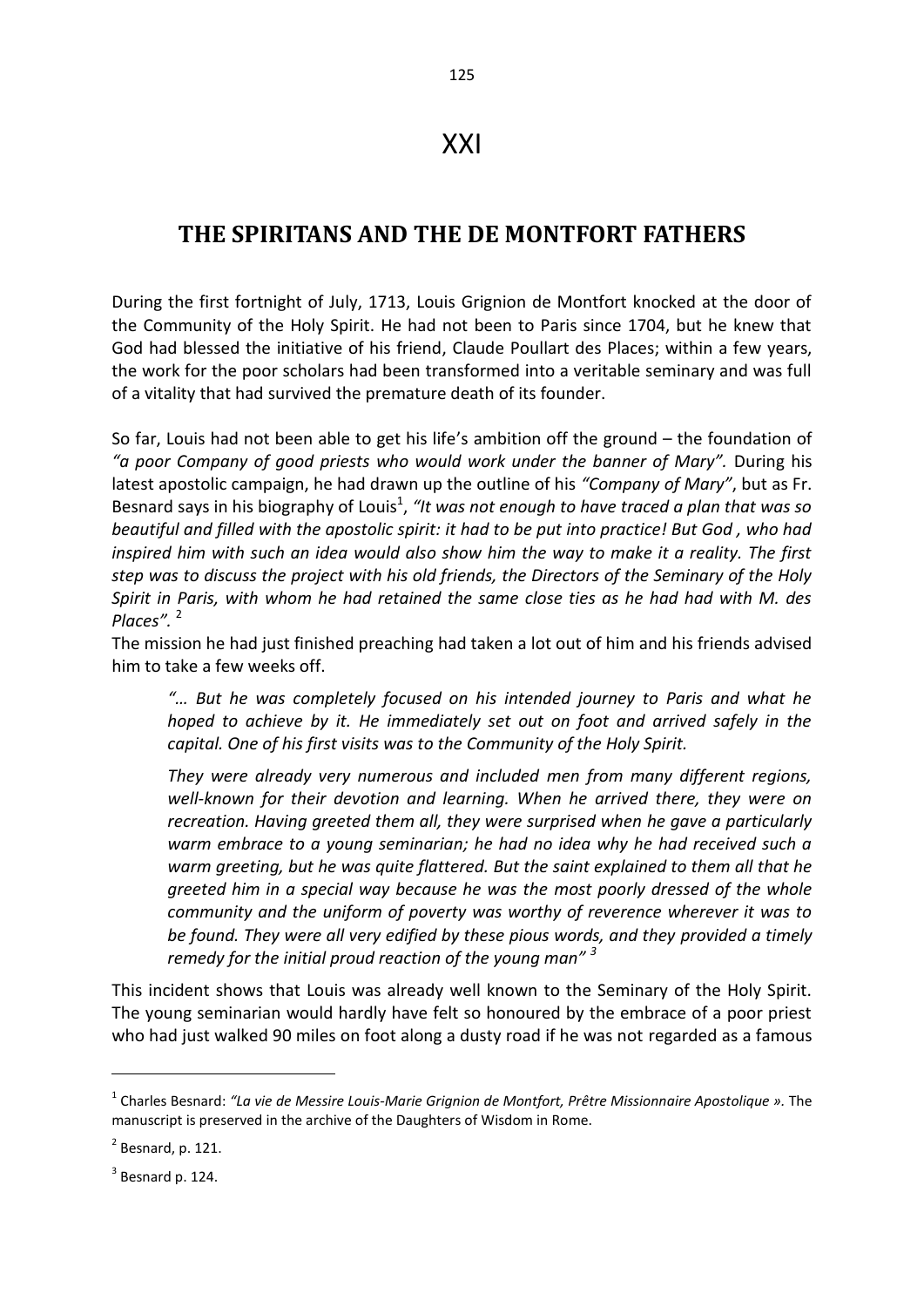## XXI

## **THE SPIRITANS AND THE DE MONTFORT FATHERS**

During the first fortnight of July, 1713, Louis Grignion de Montfort knocked at the door of the Community of the Holy Spirit. He had not been to Paris since 1704, but he knew that God had blessed the initiative of his friend, Claude Poullart des Places; within a few years, the work for the poor scholars had been transformed into a veritable seminary and was full of a vitality that had survived the premature death of its founder.

So far, Louis had not been able to get his life's ambition off the ground – the foundation of *"a poor Company of good priests who would work under the banner of Mary".* During his latest apostolic campaign, he had drawn up the outline of his *"Company of Mary"*, but as Fr. Besnard says in his biography of Louis<sup>1</sup>, "It was not enough to have traced a plan that was so *beautiful and filled with the apostolic spirit: it had to be put into practice! But God , who had inspired him with such an idea would also show him the way to make it a reality. The first step was to discuss the project with his old friends, the Directors of the Seminary of the Holy Spirit in Paris, with whom he had retained the same close ties as he had had with M. des Places".* <sup>2</sup>

The mission he had just finished preaching had taken a lot out of him and his friends advised him to take a few weeks off.

*"… But he was completely focused on his intended journey to Paris and what he hoped to achieve by it. He immediately set out on foot and arrived safely in the capital. One of his first visits was to the Community of the Holy Spirit.* 

*They were already very numerous and included men from many different regions, well-known for their devotion and learning. When he arrived there, they were on recreation. Having greeted them all, they were surprised when he gave a particularly warm embrace to a young seminarian; he had no idea why he had received such a warm greeting, but he was quite flattered. But the saint explained to them all that he greeted him in a special way because he was the most poorly dressed of the whole community and the uniform of poverty was worthy of reverence wherever it was to be found. They were all very edified by these pious words, and they provided a timely remedy for the initial proud reaction of the young man" <sup>3</sup>* 

This incident shows that Louis was already well known to the Seminary of the Holy Spirit. The young seminarian would hardly have felt so honoured by the embrace of a poor priest who had just walked 90 miles on foot along a dusty road if he was not regarded as a famous

<sup>1</sup> Charles Besnard: *"La vie de Messire Louis-Marie Grignion de Montfort, Prêtre Missionnaire Apostolique ».* The manuscript is preserved in the archive of the Daughters of Wisdom in Rome.

 $<sup>2</sup>$  Besnard, p. 121.</sup>

 $3$  Besnard p. 124.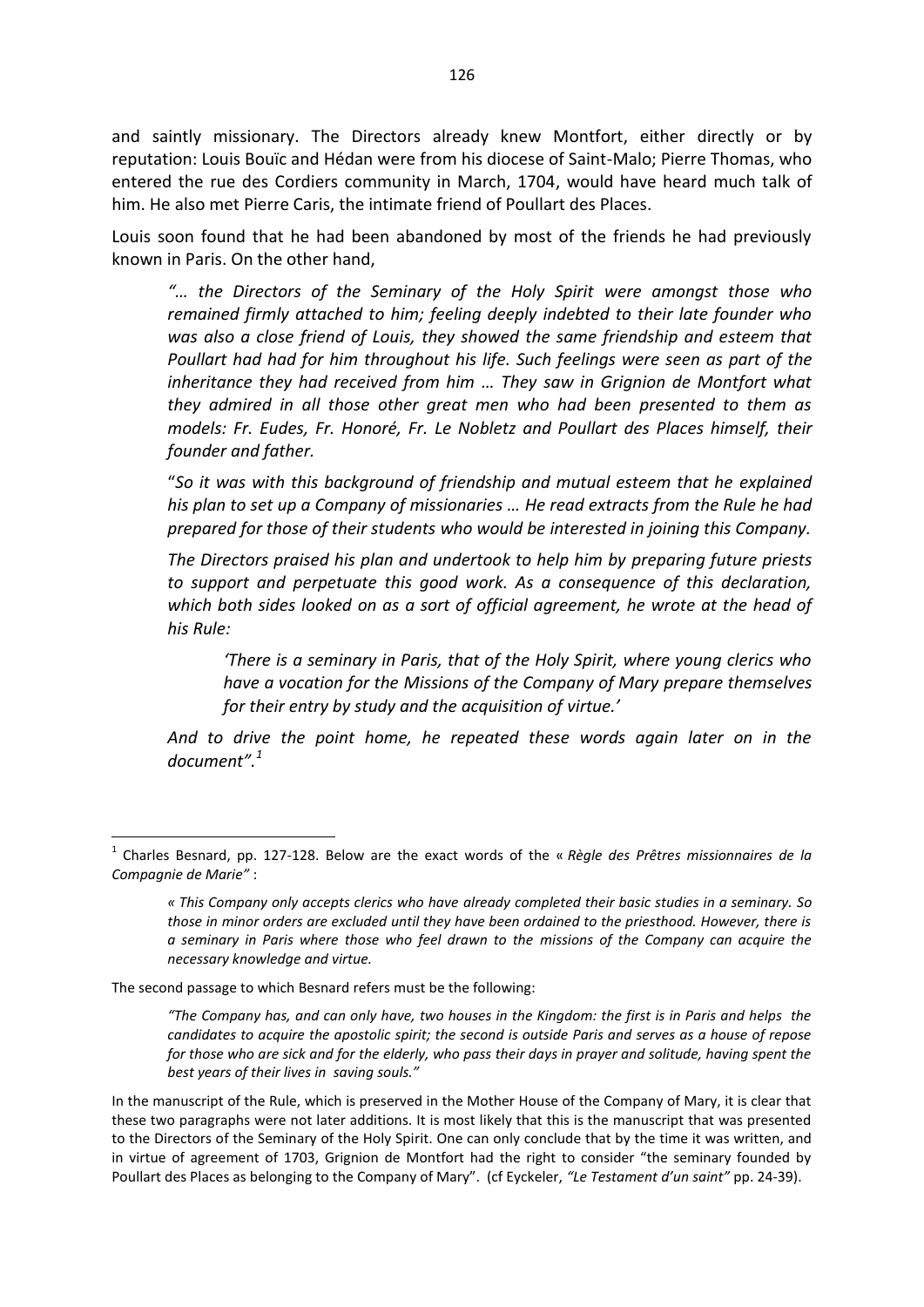and saintly missionary. The Directors already knew Montfort, either directly or by reputation: Louis Bouïc and Hédan were from his diocese of Saint-Malo; Pierre Thomas, who entered the rue des Cordiers community in March, 1704, would have heard much talk of him. He also met Pierre Caris, the intimate friend of Poullart des Places.

Louis soon found that he had been abandoned by most of the friends he had previously known in Paris. On the other hand,

*"… the Directors of the Seminary of the Holy Spirit were amongst those who remained firmly attached to him; feeling deeply indebted to their late founder who was also a close friend of Louis, they showed the same friendship and esteem that Poullart had had for him throughout his life. Such feelings were seen as part of the inheritance they had received from him … They saw in Grignion de Montfort what they admired in all those other great men who had been presented to them as models: Fr. Eudes, Fr. Honoré, Fr. Le Nobletz and Poullart des Places himself, their founder and father.* 

"*So it was with this background of friendship and mutual esteem that he explained his plan to set up a Company of missionaries … He read extracts from the Rule he had prepared for those of their students who would be interested in joining this Company.* 

*The Directors praised his plan and undertook to help him by preparing future priests to support and perpetuate this good work. As a consequence of this declaration, which both sides looked on as a sort of official agreement, he wrote at the head of his Rule:* 

*'There is a seminary in Paris, that of the Holy Spirit, where young clerics who have a vocation for the Missions of the Company of Mary prepare themselves for their entry by study and the acquisition of virtue.'*

*And to drive the point home, he repeated these words again later on in the document".<sup>1</sup>* 

The second passage to which Besnard refers must be the following:

1

*"The Company has, and can only have, two houses in the Kingdom: the first is in Paris and helps the candidates to acquire the apostolic spirit; the second is outside Paris and serves as a house of repose for those who are sick and for the elderly, who pass their days in prayer and solitude, having spent the best years of their lives in saving souls."* 

<sup>1</sup> Charles Besnard, pp. 127-128. Below are the exact words of the « *Règle des Prêtres missionnaires de la Compagnie de Marie"* :

*<sup>«</sup> This Company only accepts clerics who have already completed their basic studies in a seminary. So those in minor orders are excluded until they have been ordained to the priesthood. However, there is a seminary in Paris where those who feel drawn to the missions of the Company can acquire the necessary knowledge and virtue.* 

In the manuscript of the Rule, which is preserved in the Mother House of the Company of Mary, it is clear that these two paragraphs were not later additions. It is most likely that this is the manuscript that was presented to the Directors of the Seminary of the Holy Spirit. One can only conclude that by the time it was written, and in virtue of agreement of 1703, Grignion de Montfort had the right to consider "the seminary founded by Poullart des Places as belonging to the Company of Mary". (cf Eyckeler, *"Le Testament d'un saint"* pp. 24-39).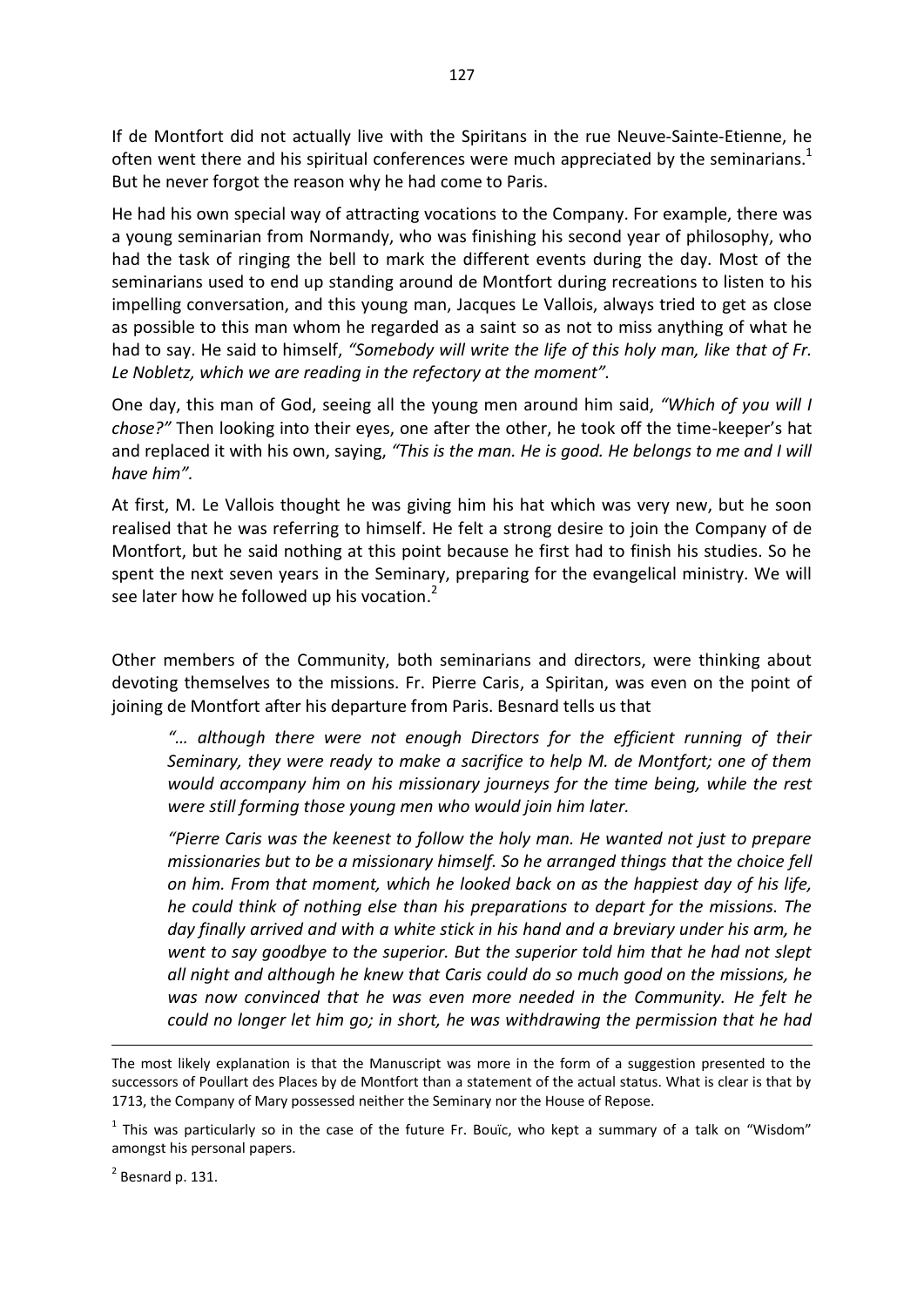If de Montfort did not actually live with the Spiritans in the rue Neuve-Sainte-Etienne, he often went there and his spiritual conferences were much appreciated by the seminarians.<sup>1</sup> But he never forgot the reason why he had come to Paris.

He had his own special way of attracting vocations to the Company. For example, there was a young seminarian from Normandy, who was finishing his second year of philosophy, who had the task of ringing the bell to mark the different events during the day. Most of the seminarians used to end up standing around de Montfort during recreations to listen to his impelling conversation, and this young man, Jacques Le Vallois, always tried to get as close as possible to this man whom he regarded as a saint so as not to miss anything of what he had to say. He said to himself, *"Somebody will write the life of this holy man, like that of Fr. Le Nobletz, which we are reading in the refectory at the moment".* 

One day, this man of God, seeing all the young men around him said, *"Which of you will I chose?"* Then looking into their eyes, one after the other, he took off the time-keeper's hat and replaced it with his own, saying, *"This is the man. He is good. He belongs to me and I will have him".* 

At first, M. Le Vallois thought he was giving him his hat which was very new, but he soon realised that he was referring to himself. He felt a strong desire to join the Company of de Montfort, but he said nothing at this point because he first had to finish his studies. So he spent the next seven years in the Seminary, preparing for the evangelical ministry. We will see later how he followed up his vocation.<sup>2</sup>

Other members of the Community, both seminarians and directors, were thinking about devoting themselves to the missions. Fr. Pierre Caris, a Spiritan, was even on the point of joining de Montfort after his departure from Paris. Besnard tells us that

*"… although there were not enough Directors for the efficient running of their Seminary, they were ready to make a sacrifice to help M. de Montfort; one of them would accompany him on his missionary journeys for the time being, while the rest were still forming those young men who would join him later.* 

*"Pierre Caris was the keenest to follow the holy man. He wanted not just to prepare missionaries but to be a missionary himself. So he arranged things that the choice fell on him. From that moment, which he looked back on as the happiest day of his life, he could think of nothing else than his preparations to depart for the missions. The day finally arrived and with a white stick in his hand and a breviary under his arm, he went to say goodbye to the superior. But the superior told him that he had not slept all night and although he knew that Caris could do so much good on the missions, he was now convinced that he was even more needed in the Community. He felt he could no longer let him go; in short, he was withdrawing the permission that he had* 

 $2$  Besnard p. 131.

The most likely explanation is that the Manuscript was more in the form of a suggestion presented to the successors of Poullart des Places by de Montfort than a statement of the actual status. What is clear is that by 1713, the Company of Mary possessed neither the Seminary nor the House of Repose.

 $<sup>1</sup>$  This was particularly so in the case of the future Fr. Bouïc, who kept a summary of a talk on "Wisdom"</sup> amongst his personal papers.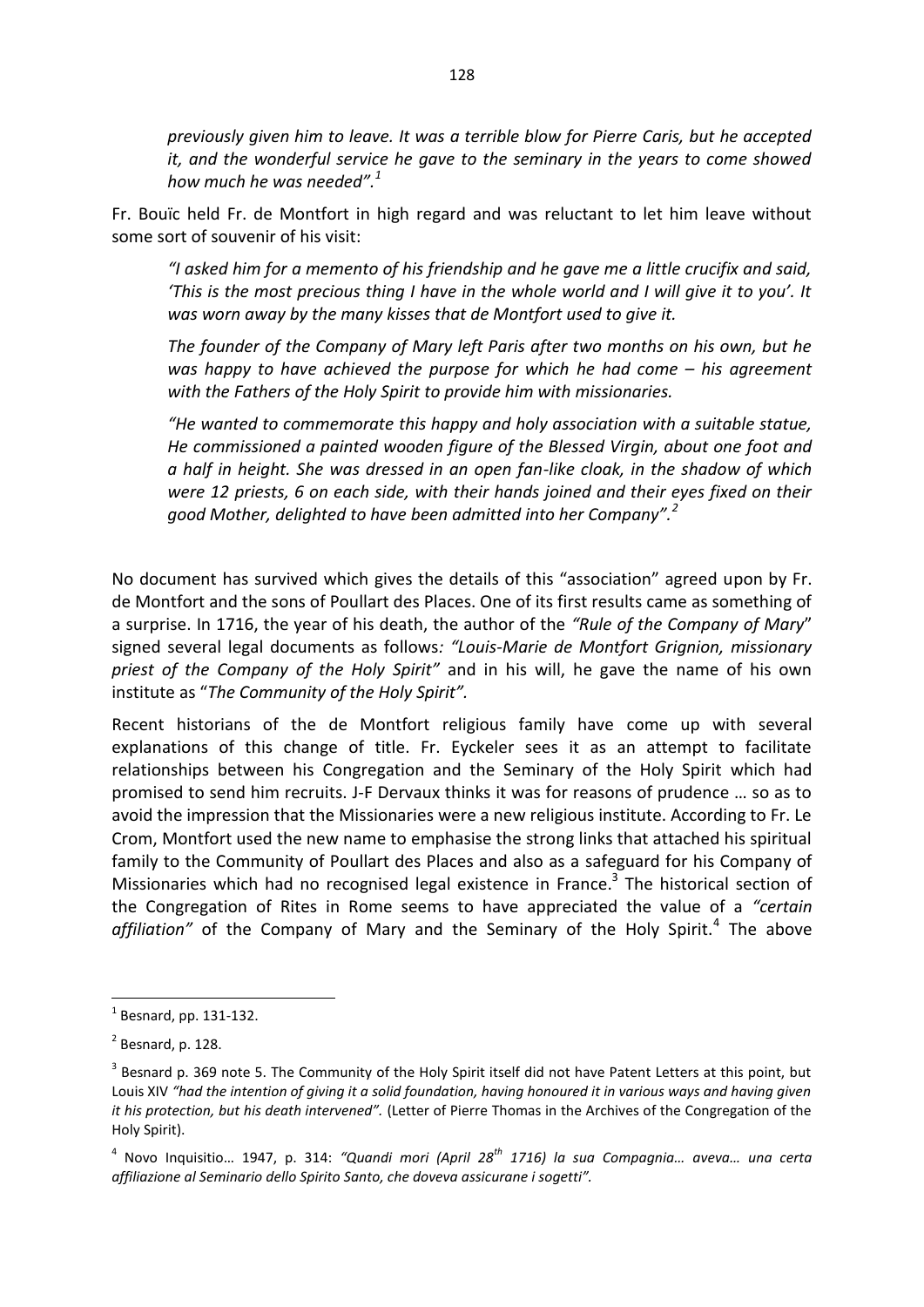*previously given him to leave. It was a terrible blow for Pierre Caris, but he accepted it, and the wonderful service he gave to the seminary in the years to come showed how much he was needed".<sup>1</sup>*

Fr. Bouïc held Fr. de Montfort in high regard and was reluctant to let him leave without some sort of souvenir of his visit:

*"I asked him for a memento of his friendship and he gave me a little crucifix and said, 'This is the most precious thing I have in the whole world and I will give it to you'. It was worn away by the many kisses that de Montfort used to give it.* 

*The founder of the Company of Mary left Paris after two months on his own, but he was happy to have achieved the purpose for which he had come – his agreement with the Fathers of the Holy Spirit to provide him with missionaries.* 

*"He wanted to commemorate this happy and holy association with a suitable statue, He commissioned a painted wooden figure of the Blessed Virgin, about one foot and a half in height. She was dressed in an open fan-like cloak, in the shadow of which were 12 priests, 6 on each side, with their hands joined and their eyes fixed on their good Mother, delighted to have been admitted into her Company".<sup>2</sup>*

No document has survived which gives the details of this "association" agreed upon by Fr. de Montfort and the sons of Poullart des Places. One of its first results came as something of a surprise. In 1716, the year of his death, the author of the *"Rule of the Company of Mary*" signed several legal documents as follows*: "Louis-Marie de Montfort Grignion, missionary priest of the Company of the Holy Spirit"* and in his will, he gave the name of his own institute as "*The Community of the Holy Spirit".* 

Recent historians of the de Montfort religious family have come up with several explanations of this change of title. Fr. Eyckeler sees it as an attempt to facilitate relationships between his Congregation and the Seminary of the Holy Spirit which had promised to send him recruits. J-F Dervaux thinks it was for reasons of prudence … so as to avoid the impression that the Missionaries were a new religious institute. According to Fr. Le Crom, Montfort used the new name to emphasise the strong links that attached his spiritual family to the Community of Poullart des Places and also as a safeguard for his Company of Missionaries which had no recognised legal existence in France.<sup>3</sup> The historical section of the Congregation of Rites in Rome seems to have appreciated the value of a *"certain*  affiliation" of the Company of Mary and the Seminary of the Holy Spirit.<sup>4</sup> The above

 $<sup>1</sup>$  Besnard, pp. 131-132.</sup>

 $<sup>2</sup>$  Besnard, p. 128.</sup>

 $3$  Besnard p. 369 note 5. The Community of the Holy Spirit itself did not have Patent Letters at this point, but Louis XIV *"had the intention of giving it a solid foundation, having honoured it in various ways and having given it his protection, but his death intervened".* (Letter of Pierre Thomas in the Archives of the Congregation of the Holy Spirit).

<sup>4</sup> Novo Inquisitio… 1947, p. 314: *"Quandi mori (April 28th 1716) la sua Compagnia… aveva… una certa affiliazione al Seminario dello Spirito Santo, che doveva assicurane i sogetti".*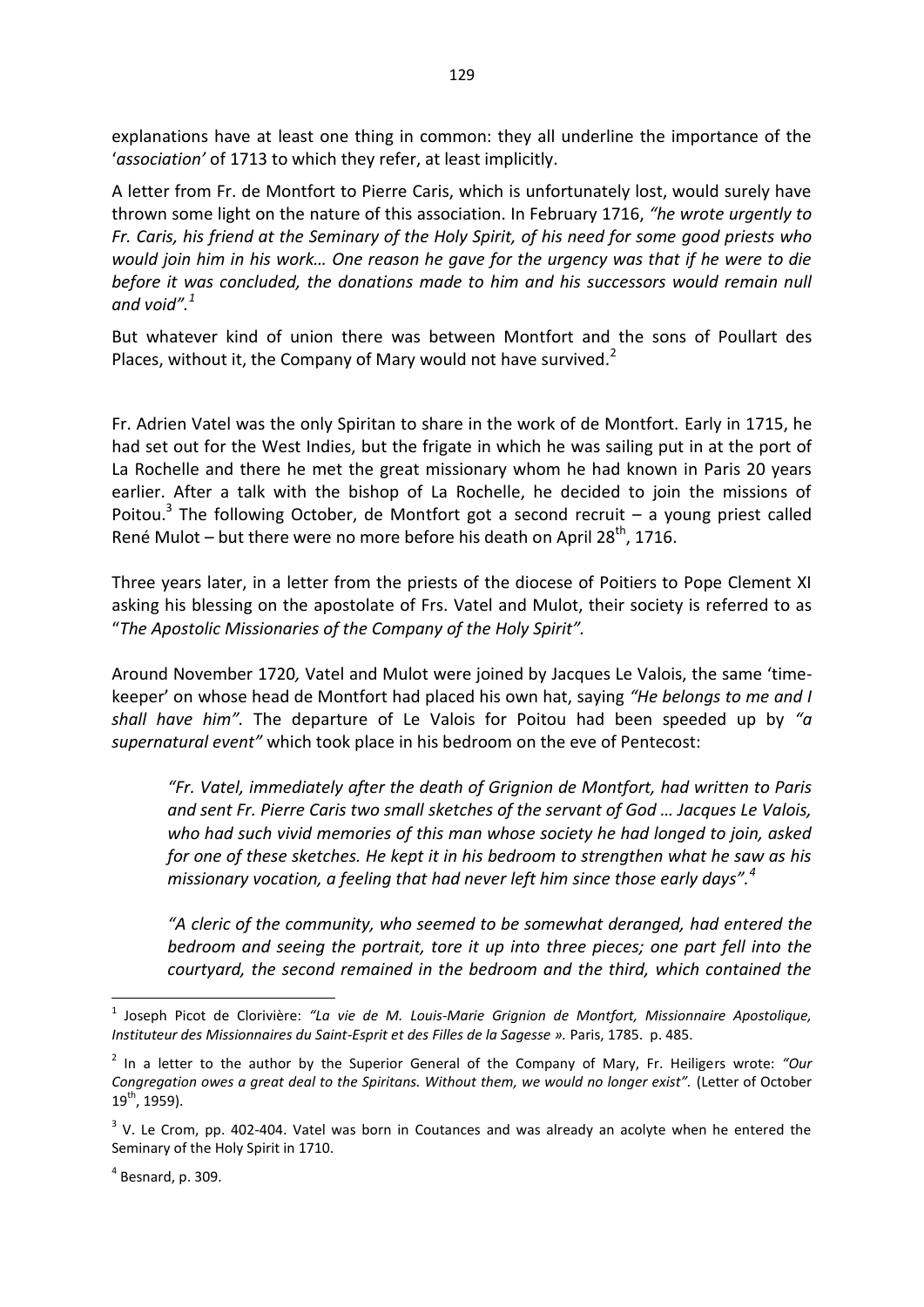explanations have at least one thing in common: they all underline the importance of the '*association'* of 1713 to which they refer, at least implicitly.

A letter from Fr. de Montfort to Pierre Caris, which is unfortunately lost, would surely have thrown some light on the nature of this association. In February 1716, *"he wrote urgently to Fr. Caris, his friend at the Seminary of the Holy Spirit, of his need for some good priests who would join him in his work… One reason he gave for the urgency was that if he were to die before it was concluded, the donations made to him and his successors would remain null and void".<sup>1</sup>*

But whatever kind of union there was between Montfort and the sons of Poullart des Places, without it, the Company of Mary would not have survived. $^2$ 

Fr. Adrien Vatel was the only Spiritan to share in the work of de Montfort. Early in 1715, he had set out for the West Indies, but the frigate in which he was sailing put in at the port of La Rochelle and there he met the great missionary whom he had known in Paris 20 years earlier. After a talk with the bishop of La Rochelle, he decided to join the missions of Poitou.<sup>3</sup> The following October, de Montfort got a second recruit  $-$  a young priest called René Mulot – but there were no more before his death on April 28<sup>th</sup>, 1716.

Three years later, in a letter from the priests of the diocese of Poitiers to Pope Clement XI asking his blessing on the apostolate of Frs. Vatel and Mulot, their society is referred to as "*The Apostolic Missionaries of the Company of the Holy Spirit".* 

Around November 1720*,* Vatel and Mulot were joined by Jacques Le Valois, the same 'timekeeper' on whose head de Montfort had placed his own hat, saying *"He belongs to me and I shall have him".* The departure of Le Valois for Poitou had been speeded up by *"a supernatural event"* which took place in his bedroom on the eve of Pentecost:

*"Fr. Vatel, immediately after the death of Grignion de Montfort, had written to Paris and sent Fr. Pierre Caris two small sketches of the servant of God … Jacques Le Valois, who had such vivid memories of this man whose society he had longed to join, asked for one of these sketches. He kept it in his bedroom to strengthen what he saw as his missionary vocation, a feeling that had never left him since those early days".<sup>4</sup>* 

*"A cleric of the community, who seemed to be somewhat deranged, had entered the bedroom and seeing the portrait, tore it up into three pieces; one part fell into the courtyard, the second remained in the bedroom and the third, which contained the* 

<sup>1</sup> Joseph Picot de Clorivière: *"La vie de M. Louis-Marie Grignion de Montfort, Missionnaire Apostolique, Instituteur des Missionnaires du Saint-Esprit et des Filles de la Sagesse ».* Paris, 1785. p. 485.

<sup>2</sup> In a letter to the author by the Superior General of the Company of Mary, Fr. Heiligers wrote: *"Our Congregation owes a great deal to the Spiritans. Without them, we would no longer exist".* (Letter of October  $19^{th}$ , 1959).

 $3$  V. Le Crom, pp. 402-404. Vatel was born in Coutances and was already an acolyte when he entered the Seminary of the Holy Spirit in 1710.

 $<sup>4</sup>$  Besnard, p. 309.</sup>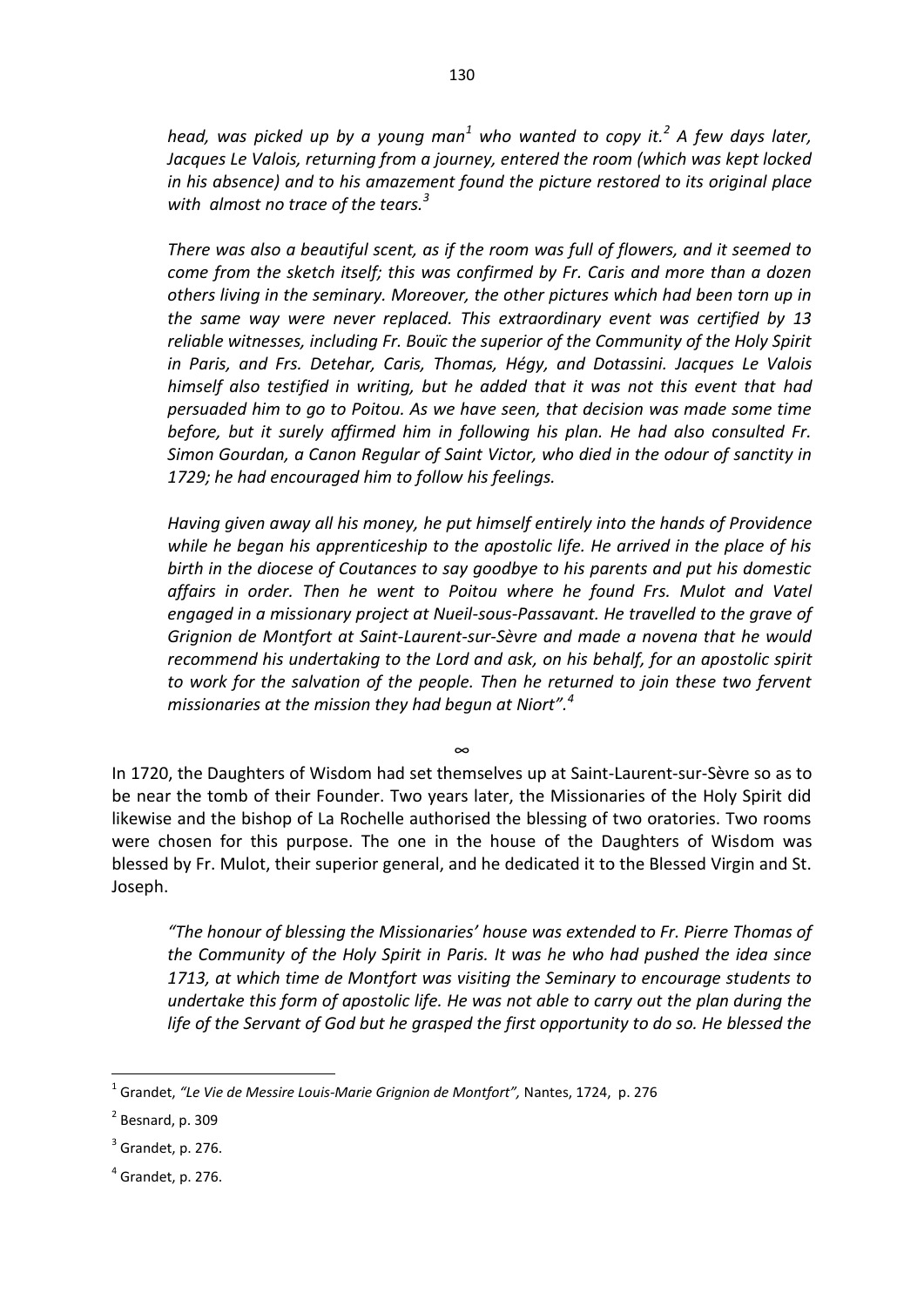head, was picked up by a young man<sup>1</sup> who wanted to copy it.<sup>2</sup> A few days later, *Jacques Le Valois, returning from a journey, entered the room (which was kept locked in his absence) and to his amazement found the picture restored to its original place with almost no trace of the tears.<sup>3</sup>*

*There was also a beautiful scent, as if the room was full of flowers, and it seemed to come from the sketch itself; this was confirmed by Fr. Caris and more than a dozen others living in the seminary. Moreover, the other pictures which had been torn up in the same way were never replaced. This extraordinary event was certified by 13 reliable witnesses, including Fr. Bouïc the superior of the Community of the Holy Spirit in Paris, and Frs. Detehar, Caris, Thomas, Hégy, and Dotassini. Jacques Le Valois himself also testified in writing, but he added that it was not this event that had persuaded him to go to Poitou. As we have seen, that decision was made some time before, but it surely affirmed him in following his plan. He had also consulted Fr. Simon Gourdan, a Canon Regular of Saint Victor, who died in the odour of sanctity in 1729; he had encouraged him to follow his feelings.* 

*Having given away all his money, he put himself entirely into the hands of Providence while he began his apprenticeship to the apostolic life. He arrived in the place of his birth in the diocese of Coutances to say goodbye to his parents and put his domestic affairs in order. Then he went to Poitou where he found Frs. Mulot and Vatel engaged in a missionary project at Nueil-sous-Passavant. He travelled to the grave of Grignion de Montfort at Saint-Laurent-sur-Sèvre and made a novena that he would recommend his undertaking to the Lord and ask, on his behalf, for an apostolic spirit to work for the salvation of the people. Then he returned to join these two fervent missionaries at the mission they had begun at Niort".<sup>4</sup>* 

∞

In 1720, the Daughters of Wisdom had set themselves up at Saint-Laurent-sur-Sèvre so as to be near the tomb of their Founder. Two years later, the Missionaries of the Holy Spirit did likewise and the bishop of La Rochelle authorised the blessing of two oratories. Two rooms were chosen for this purpose. The one in the house of the Daughters of Wisdom was blessed by Fr. Mulot, their superior general, and he dedicated it to the Blessed Virgin and St. Joseph.

*"The honour of blessing the Missionaries' house was extended to Fr. Pierre Thomas of the Community of the Holy Spirit in Paris. It was he who had pushed the idea since 1713, at which time de Montfort was visiting the Seminary to encourage students to undertake this form of apostolic life. He was not able to carry out the plan during the life of the Servant of God but he grasped the first opportunity to do so. He blessed the* 

<sup>1</sup> Grandet, *"Le Vie de Messire Louis-Marie Grignion de Montfort",* Nantes, 1724, p. 276

 $<sup>2</sup>$  Besnard, p. 309</sup>

 $3$  Grandet, p. 276.

 $<sup>4</sup>$  Grandet, p. 276.</sup>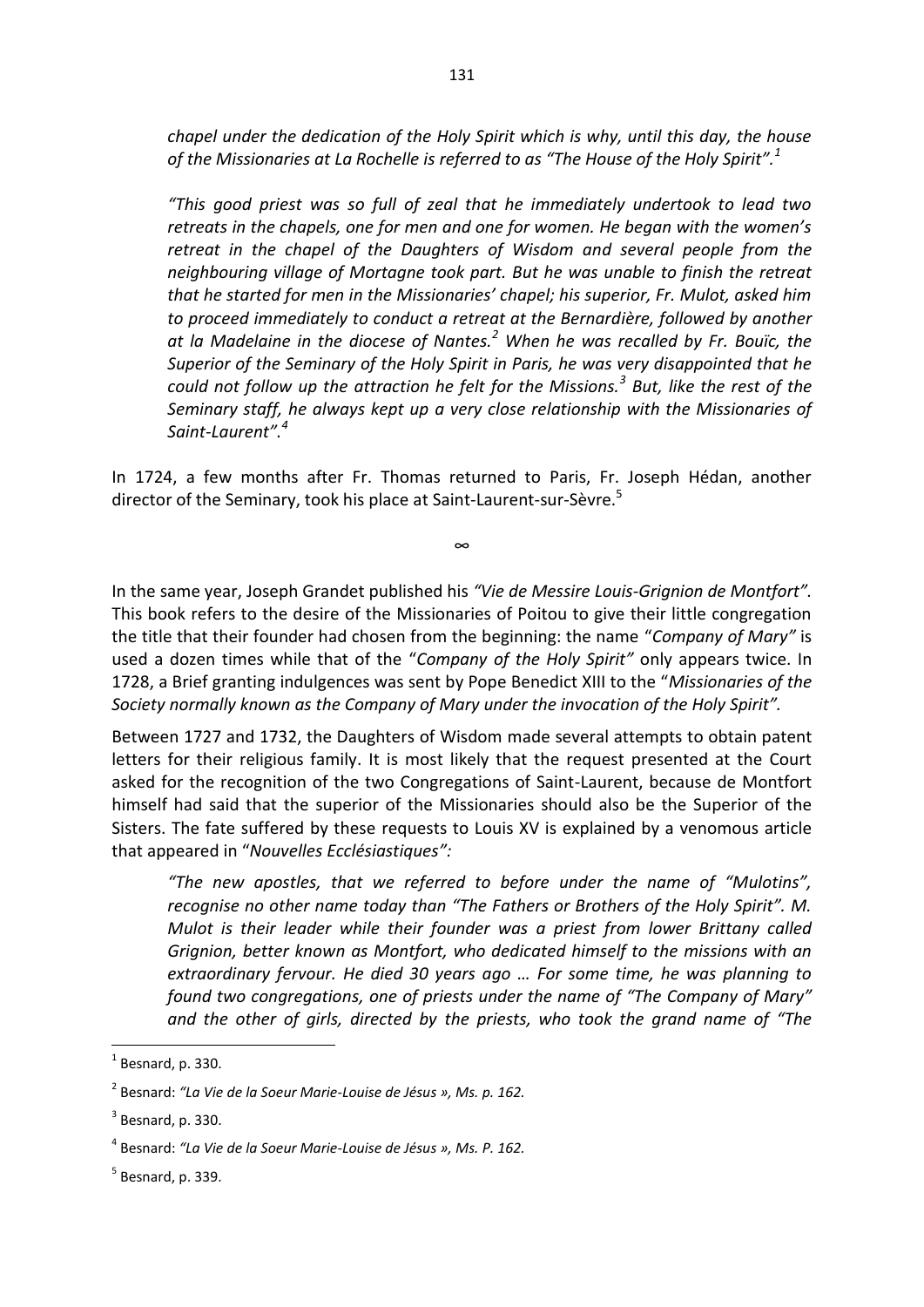*chapel under the dedication of the Holy Spirit which is why, until this day, the house of the Missionaries at La Rochelle is referred to as "The House of the Holy Spirit".<sup>1</sup>* 

*"This good priest was so full of zeal that he immediately undertook to lead two retreats in the chapels, one for men and one for women. He began with the women's retreat in the chapel of the Daughters of Wisdom and several people from the neighbouring village of Mortagne took part. But he was unable to finish the retreat that he started for men in the Missionaries' chapel; his superior, Fr. Mulot, asked him to proceed immediately to conduct a retreat at the Bernardière, followed by another at la Madelaine in the diocese of Nantes.<sup>2</sup> When he was recalled by Fr. Bouïc, the Superior of the Seminary of the Holy Spirit in Paris, he was very disappointed that he could not follow up the attraction he felt for the Missions.<sup>3</sup> But, like the rest of the Seminary staff, he always kept up a very close relationship with the Missionaries of Saint-Laurent".<sup>4</sup>*

In 1724, a few months after Fr. Thomas returned to Paris, Fr. Joseph Hédan, another director of the Seminary, took his place at Saint-Laurent-sur-Sèvre.<sup>5</sup>

∞

In the same year, Joseph Grandet published his *"Vie de Messire Louis-Grignion de Montfort".*  This book refers to the desire of the Missionaries of Poitou to give their little congregation the title that their founder had chosen from the beginning: the name "*Company of Mary"* is used a dozen times while that of the "*Company of the Holy Spirit"* only appears twice. In 1728, a Brief granting indulgences was sent by Pope Benedict XIII to the "*Missionaries of the Society normally known as the Company of Mary under the invocation of the Holy Spirit".* 

Between 1727 and 1732, the Daughters of Wisdom made several attempts to obtain patent letters for their religious family. It is most likely that the request presented at the Court asked for the recognition of the two Congregations of Saint-Laurent, because de Montfort himself had said that the superior of the Missionaries should also be the Superior of the Sisters. The fate suffered by these requests to Louis XV is explained by a venomous article that appeared in "*Nouvelles Ecclésiastiques":* 

*"The new apostles, that we referred to before under the name of "Mulotins", recognise no other name today than "The Fathers or Brothers of the Holy Spirit". M. Mulot is their leader while their founder was a priest from lower Brittany called Grignion, better known as Montfort, who dedicated himself to the missions with an extraordinary fervour. He died 30 years ago … For some time, he was planning to found two congregations, one of priests under the name of "The Company of Mary" and the other of girls, directed by the priests, who took the grand name of "The* 

1

 $<sup>1</sup>$  Besnard, p. 330.</sup>

<sup>2</sup> Besnard: *"La Vie de la Soeur Marie-Louise de Jésus », Ms. p. 162.* 

 $3$  Besnard, p. 330.

<sup>4</sup> Besnard: *"La Vie de la Soeur Marie-Louise de Jésus », Ms. P. 162.* 

<sup>&</sup>lt;sup>5</sup> Besnard, p. 339.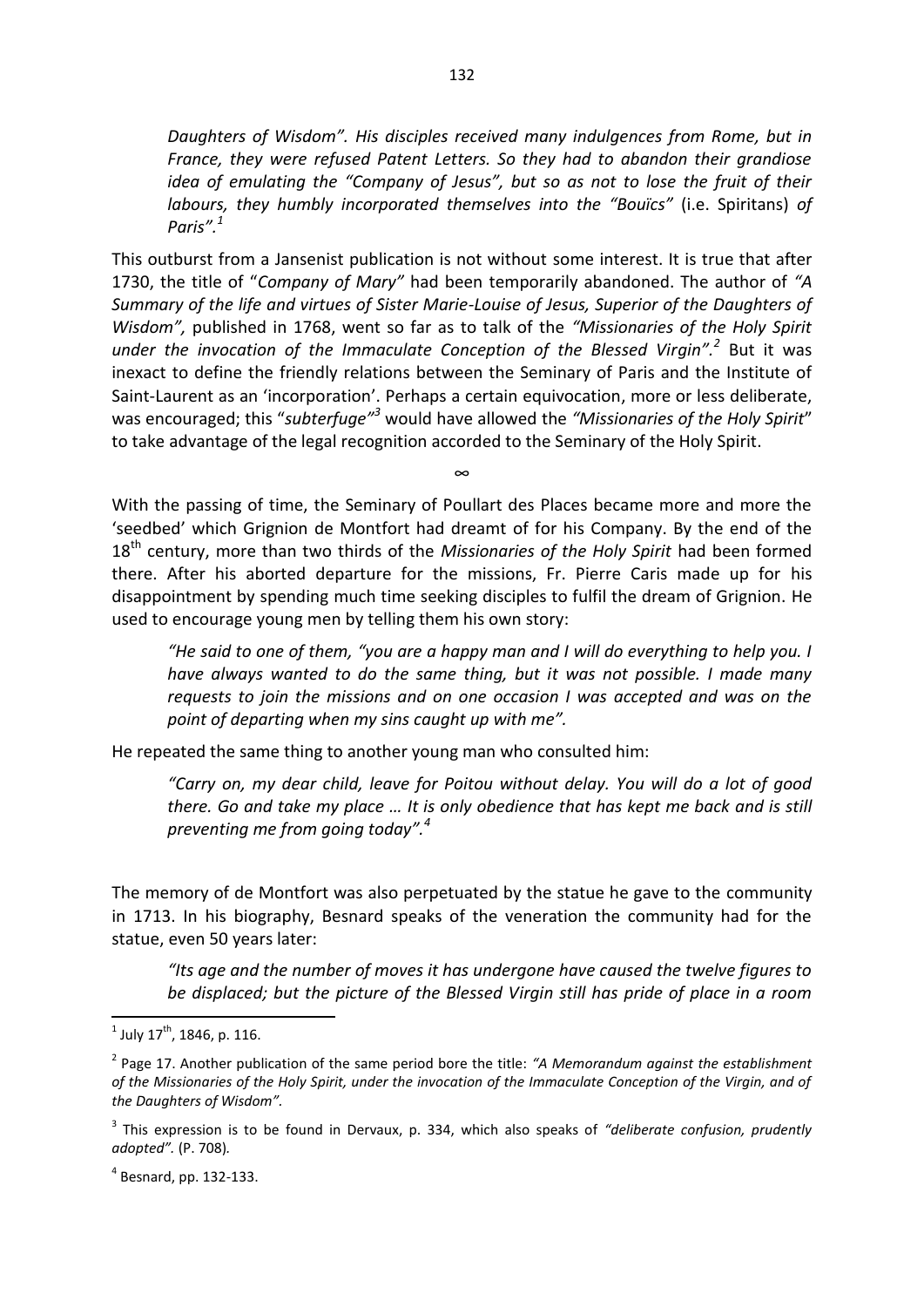*Daughters of Wisdom". His disciples received many indulgences from Rome, but in France, they were refused Patent Letters. So they had to abandon their grandiose idea of emulating the "Company of Jesus", but so as not to lose the fruit of their labours, they humbly incorporated themselves into the "Bouïcs"* (i.e. Spiritans) *of Paris".<sup>1</sup>* 

This outburst from a Jansenist publication is not without some interest. It is true that after 1730, the title of "*Company of Mary"* had been temporarily abandoned. The author of *"A Summary of the life and virtues of Sister Marie-Louise of Jesus, Superior of the Daughters of Wisdom",* published in 1768, went so far as to talk of the *"Missionaries of the Holy Spirit under the invocation of the Immaculate Conception of the Blessed Virgin".<sup>2</sup>* But it was inexact to define the friendly relations between the Seminary of Paris and the Institute of Saint-Laurent as an 'incorporation'. Perhaps a certain equivocation, more or less deliberate, was encouraged; this "*subterfuge"<sup>3</sup>* would have allowed the *"Missionaries of the Holy Spirit*" to take advantage of the legal recognition accorded to the Seminary of the Holy Spirit.

With the passing of time, the Seminary of Poullart des Places became more and more the 'seedbed' which Grignion de Montfort had dreamt of for his Company. By the end of the 18th century, more than two thirds of the *Missionaries of the Holy Spirit* had been formed there. After his aborted departure for the missions, Fr. Pierre Caris made up for his disappointment by spending much time seeking disciples to fulfil the dream of Grignion. He used to encourage young men by telling them his own story:

∞

*"He said to one of them, "you are a happy man and I will do everything to help you. I have always wanted to do the same thing, but it was not possible. I made many requests to join the missions and on one occasion I was accepted and was on the point of departing when my sins caught up with me".* 

He repeated the same thing to another young man who consulted him:

*"Carry on, my dear child, leave for Poitou without delay. You will do a lot of good there. Go and take my place … It is only obedience that has kept me back and is still preventing me from going today".<sup>4</sup>*

The memory of de Montfort was also perpetuated by the statue he gave to the community in 1713. In his biography, Besnard speaks of the veneration the community had for the statue, even 50 years later:

*"Its age and the number of moves it has undergone have caused the twelve figures to be displaced; but the picture of the Blessed Virgin still has pride of place in a room* 

 $\frac{1}{1}$ July 17<sup>th</sup>, 1846, p. 116.

<sup>2</sup> Page 17. Another publication of the same period bore the title: *"A Memorandum against the establishment of the Missionaries of the Holy Spirit, under the invocation of the Immaculate Conception of the Virgin, and of the Daughters of Wisdom".* 

<sup>3</sup> This expression is to be found in Dervaux, p. 334, which also speaks of *"deliberate confusion, prudently adopted".* (P. 708)*.* 

<sup>4</sup> Besnard, pp. 132-133.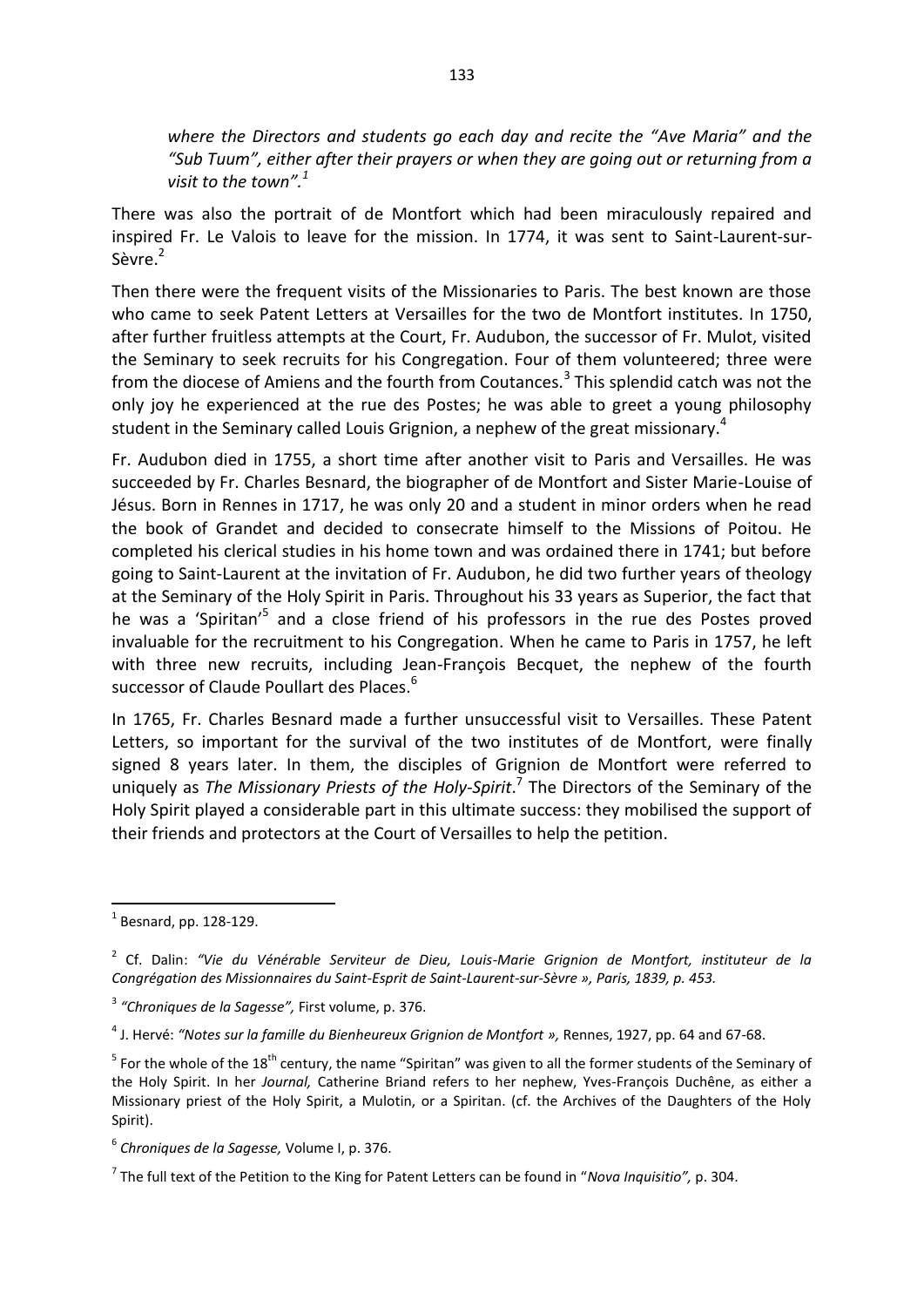*where the Directors and students go each day and recite the "Ave Maria" and the "Sub Tuum", either after their prayers or when they are going out or returning from a visit to the town". 1* 

There was also the portrait of de Montfort which had been miraculously repaired and inspired Fr. Le Valois to leave for the mission. In 1774, it was sent to Saint-Laurent-sur-Sèvre.<sup>2</sup>

Then there were the frequent visits of the Missionaries to Paris. The best known are those who came to seek Patent Letters at Versailles for the two de Montfort institutes. In 1750, after further fruitless attempts at the Court, Fr. Audubon, the successor of Fr. Mulot, visited the Seminary to seek recruits for his Congregation. Four of them volunteered; three were from the diocese of Amiens and the fourth from Coutances.<sup>3</sup> This splendid catch was not the only joy he experienced at the rue des Postes; he was able to greet a young philosophy student in the Seminary called Louis Grignion, a nephew of the great missionary.<sup>4</sup>

Fr. Audubon died in 1755, a short time after another visit to Paris and Versailles. He was succeeded by Fr. Charles Besnard, the biographer of de Montfort and Sister Marie-Louise of Jésus. Born in Rennes in 1717, he was only 20 and a student in minor orders when he read the book of Grandet and decided to consecrate himself to the Missions of Poitou. He completed his clerical studies in his home town and was ordained there in 1741; but before going to Saint-Laurent at the invitation of Fr. Audubon, he did two further years of theology at the Seminary of the Holy Spirit in Paris. Throughout his 33 years as Superior, the fact that he was a 'Spiritan'<sup>5</sup> and a close friend of his professors in the rue des Postes proved invaluable for the recruitment to his Congregation. When he came to Paris in 1757, he left with three new recruits, including Jean-François Becquet, the nephew of the fourth successor of Claude Poullart des Places.<sup>6</sup>

In 1765, Fr. Charles Besnard made a further unsuccessful visit to Versailles. These Patent Letters, so important for the survival of the two institutes of de Montfort, were finally signed 8 years later. In them, the disciples of Grignion de Montfort were referred to uniquely as *The Missionary Priests of the Holy-Spirit*.<sup>7</sup> The Directors of the Seminary of the Holy Spirit played a considerable part in this ultimate success: they mobilised the support of their friends and protectors at the Court of Versailles to help the petition.

 $\overline{a}$ 

 $<sup>1</sup>$  Besnard, pp. 128-129.</sup>

<sup>2</sup> Cf. Dalin: *"Vie du Vénérable Serviteur de Dieu, Louis-Marie Grignion de Montfort, instituteur de la Congrégation des Missionnaires du Saint-Esprit de Saint-Laurent-sur-Sèvre », Paris, 1839, p. 453.*

<sup>3</sup> *"Chroniques de la Sagesse",* First volume, p. 376.

<sup>4</sup> J. Hervé: *"Notes sur la famille du Bienheureux Grignion de Montfort »,* Rennes, 1927, pp. 64 and 67-68.

 $^5$  For the whole of the 18<sup>th</sup> century, the name "Spiritan" was given to all the former students of the Seminary of the Holy Spirit. In her *Journal,* Catherine Briand refers to her nephew, Yves-François Duchêne, as either a Missionary priest of the Holy Spirit, a Mulotin, or a Spiritan. (cf. the Archives of the Daughters of the Holy Spirit).

<sup>6</sup> *Chroniques de la Sagesse,* Volume I, p. 376.

<sup>7</sup> The full text of the Petition to the King for Patent Letters can be found in "*Nova Inquisitio",* p. 304.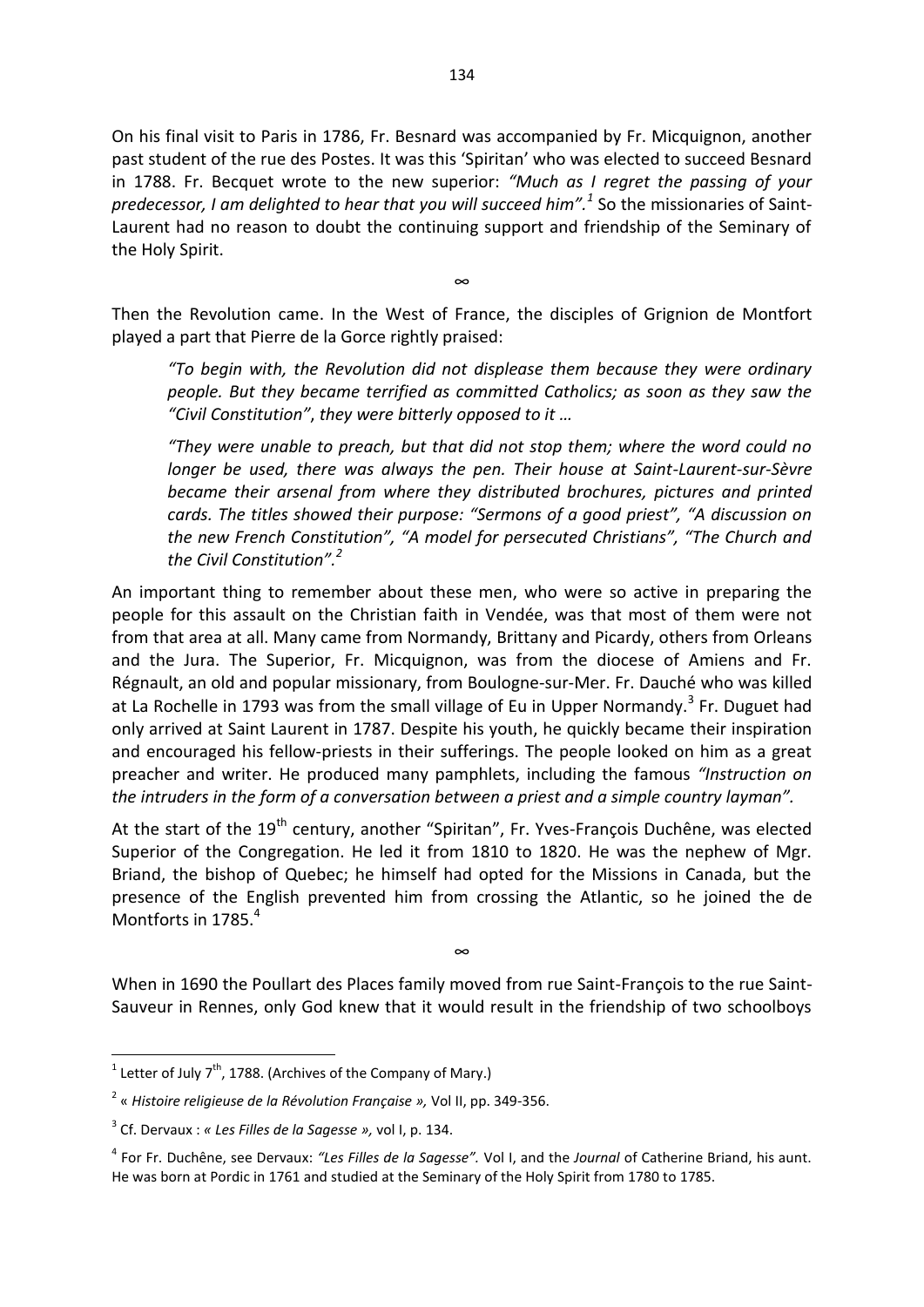On his final visit to Paris in 1786, Fr. Besnard was accompanied by Fr. Micquignon, another past student of the rue des Postes. It was this 'Spiritan' who was elected to succeed Besnard in 1788. Fr. Becquet wrote to the new superior: *"Much as I regret the passing of your predecessor, I am delighted to hear that you will succeed him".<sup>1</sup>* So the missionaries of Saint-Laurent had no reason to doubt the continuing support and friendship of the Seminary of the Holy Spirit.

Then the Revolution came. In the West of France, the disciples of Grignion de Montfort played a part that Pierre de la Gorce rightly praised:

∞

*"To begin with, the Revolution did not displease them because they were ordinary people. But they became terrified as committed Catholics; as soon as they saw the "Civil Constitution"*, *they were bitterly opposed to it …*

*"They were unable to preach, but that did not stop them; where the word could no longer be used, there was always the pen. Their house at Saint-Laurent-sur-Sèvre became their arsenal from where they distributed brochures, pictures and printed cards. The titles showed their purpose: "Sermons of a good priest", "A discussion on the new French Constitution", "A model for persecuted Christians", "The Church and the Civil Constitution".<sup>2</sup>* 

An important thing to remember about these men, who were so active in preparing the people for this assault on the Christian faith in Vendée, was that most of them were not from that area at all. Many came from Normandy, Brittany and Picardy, others from Orleans and the Jura. The Superior, Fr. Micquignon, was from the diocese of Amiens and Fr. Régnault, an old and popular missionary, from Boulogne-sur-Mer. Fr. Dauché who was killed at La Rochelle in 1793 was from the small village of Eu in Upper Normandy.<sup>3</sup> Fr. Duguet had only arrived at Saint Laurent in 1787. Despite his youth, he quickly became their inspiration and encouraged his fellow-priests in their sufferings. The people looked on him as a great preacher and writer. He produced many pamphlets, including the famous *"Instruction on the intruders in the form of a conversation between a priest and a simple country layman".* 

At the start of the 19<sup>th</sup> century, another "Spiritan", Fr. Yves-François Duchêne, was elected Superior of the Congregation. He led it from 1810 to 1820. He was the nephew of Mgr. Briand, the bishop of Quebec; he himself had opted for the Missions in Canada, but the presence of the English prevented him from crossing the Atlantic, so he joined the de Montforts in 1785.<sup>4</sup>

When in 1690 the Poullart des Places family moved from rue Saint-François to the rue Saint-Sauveur in Rennes, only God knew that it would result in the friendship of two schoolboys

∞

**The Letter of July 7<sup>th</sup>, 1788. (Archives of the Company of Mary.)** 

<sup>2</sup> « *Histoire religieuse de la Révolution Française »,* Vol II, pp. 349-356.

<sup>3</sup> Cf. Dervaux : *« Les Filles de la Sagesse »,* vol I, p. 134.

<sup>4</sup> For Fr. Duchêne, see Dervaux: *"Les Filles de la Sagesse".* Vol I, and the *Journal* of Catherine Briand, his aunt. He was born at Pordic in 1761 and studied at the Seminary of the Holy Spirit from 1780 to 1785.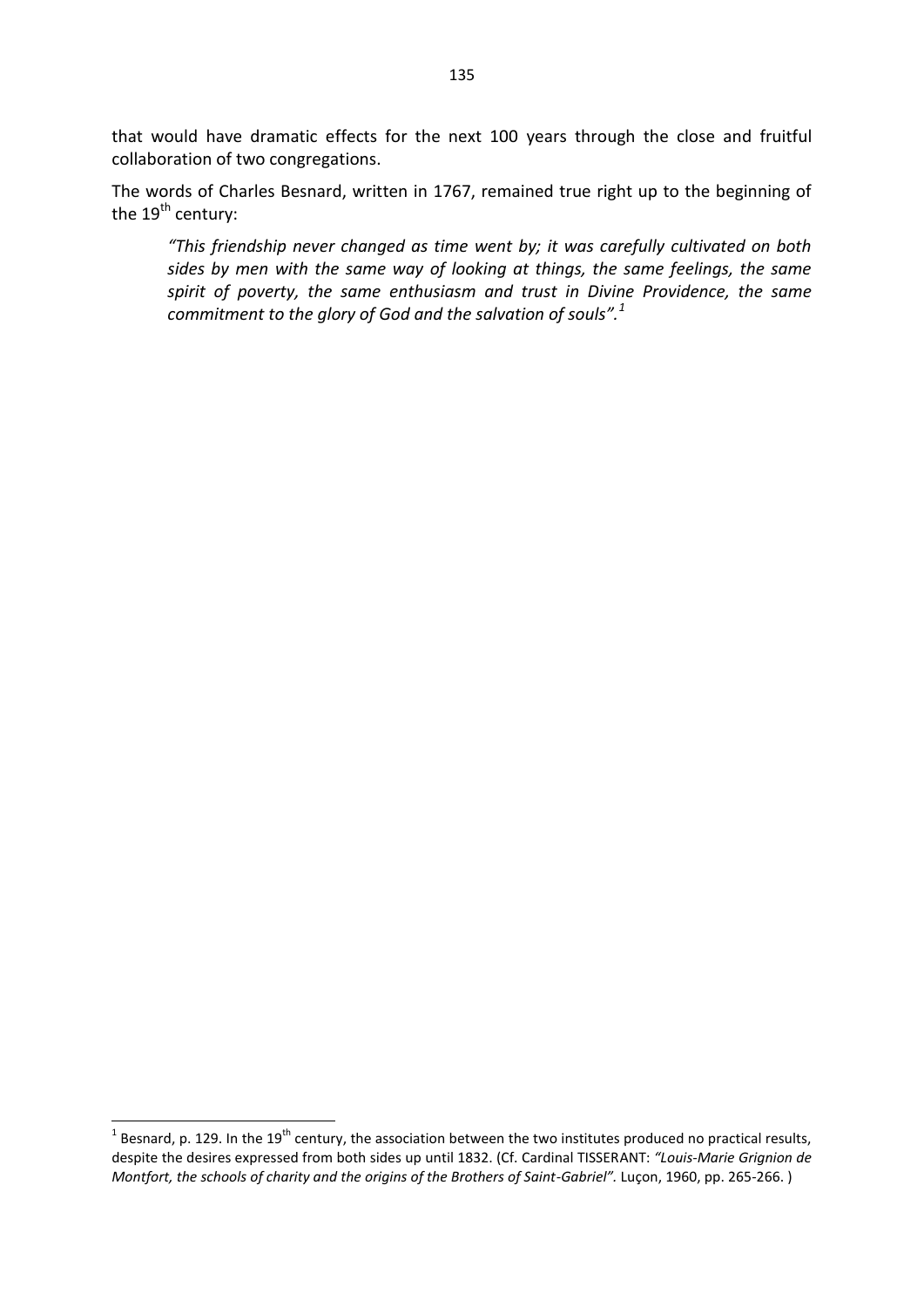that would have dramatic effects for the next 100 years through the close and fruitful collaboration of two congregations.

The words of Charles Besnard, written in 1767, remained true right up to the beginning of the  $19<sup>th</sup>$  century:

*"This friendship never changed as time went by; it was carefully cultivated on both sides by men with the same way of looking at things, the same feelings, the same spirit of poverty, the same enthusiasm and trust in Divine Providence, the same commitment to the glory of God and the salvation of souls".<sup>1</sup>*

<sup>&</sup>lt;sup>1</sup> Besnard, p. 129. In the 19<sup>th</sup> century, the association between the two institutes produced no practical results, despite the desires expressed from both sides up until 1832. (Cf. Cardinal TISSERANT: *"Louis-Marie Grignion de Montfort, the schools of charity and the origins of the Brothers of Saint-Gabriel".* Luçon, 1960, pp. 265-266. )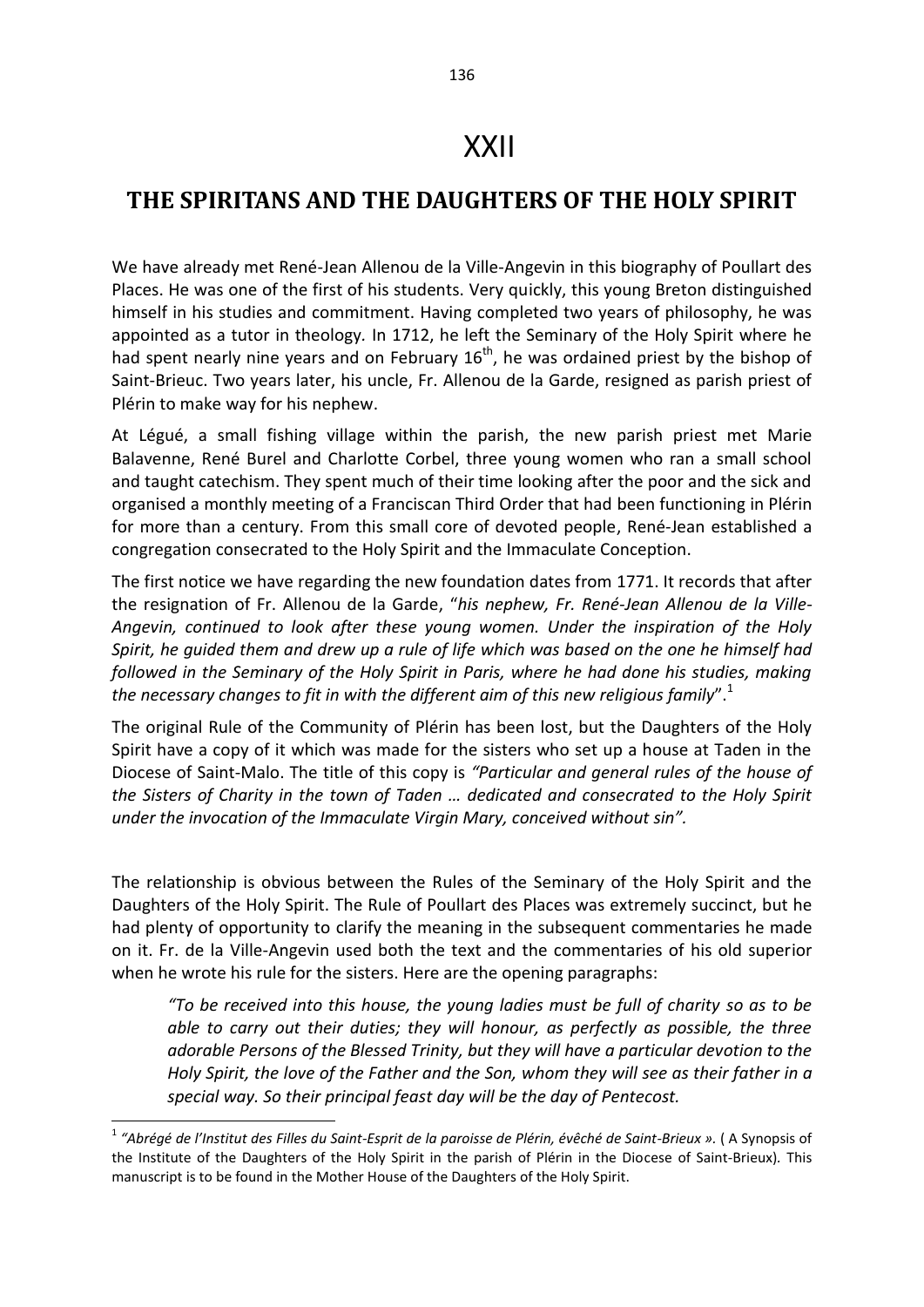## **THE SPIRITANS AND THE DAUGHTERS OF THE HOLY SPIRIT**

We have already met René-Jean Allenou de la Ville-Angevin in this biography of Poullart des Places. He was one of the first of his students. Very quickly, this young Breton distinguished himself in his studies and commitment. Having completed two years of philosophy, he was appointed as a tutor in theology*.* In 1712, he left the Seminary of the Holy Spirit where he had spent nearly nine years and on February 16<sup>th</sup>, he was ordained priest by the bishop of Saint-Brieuc. Two years later, his uncle, Fr. Allenou de la Garde, resigned as parish priest of Plérin to make way for his nephew.

At Légué, a small fishing village within the parish, the new parish priest met Marie Balavenne, René Burel and Charlotte Corbel, three young women who ran a small school and taught catechism. They spent much of their time looking after the poor and the sick and organised a monthly meeting of a Franciscan Third Order that had been functioning in Plérin for more than a century. From this small core of devoted people, René-Jean established a congregation consecrated to the Holy Spirit and the Immaculate Conception.

The first notice we have regarding the new foundation dates from 1771. It records that after the resignation of Fr. Allenou de la Garde, "*his nephew, Fr. René-Jean Allenou de la Ville-Angevin, continued to look after these young women. Under the inspiration of the Holy Spirit, he guided them and drew up a rule of life which was based on the one he himself had followed in the Seminary of the Holy Spirit in Paris, where he had done his studies, making the necessary changes to fit in with the different aim of this new religious family*".<sup>1</sup>

The original Rule of the Community of Plérin has been lost, but the Daughters of the Holy Spirit have a copy of it which was made for the sisters who set up a house at Taden in the Diocese of Saint-Malo. The title of this copy is *"Particular and general rules of the house of the Sisters of Charity in the town of Taden … dedicated and consecrated to the Holy Spirit under the invocation of the Immaculate Virgin Mary, conceived without sin".* 

The relationship is obvious between the Rules of the Seminary of the Holy Spirit and the Daughters of the Holy Spirit. The Rule of Poullart des Places was extremely succinct, but he had plenty of opportunity to clarify the meaning in the subsequent commentaries he made on it. Fr. de la Ville-Angevin used both the text and the commentaries of his old superior when he wrote his rule for the sisters. Here are the opening paragraphs:

*"To be received into this house, the young ladies must be full of charity so as to be able to carry out their duties; they will honour, as perfectly as possible, the three adorable Persons of the Blessed Trinity, but they will have a particular devotion to the Holy Spirit, the love of the Father and the Son, whom they will see as their father in a special way. So their principal feast day will be the day of Pentecost.* 

<sup>1</sup> *"Abrégé de l'Institut des Filles du Saint-Esprit de la paroisse de Plérin, évêché de Saint-Brieux ».* ( A Synopsis of the Institute of the Daughters of the Holy Spirit in the parish of Plérin in the Diocese of Saint-Brieux)*.* This manuscript is to be found in the Mother House of the Daughters of the Holy Spirit.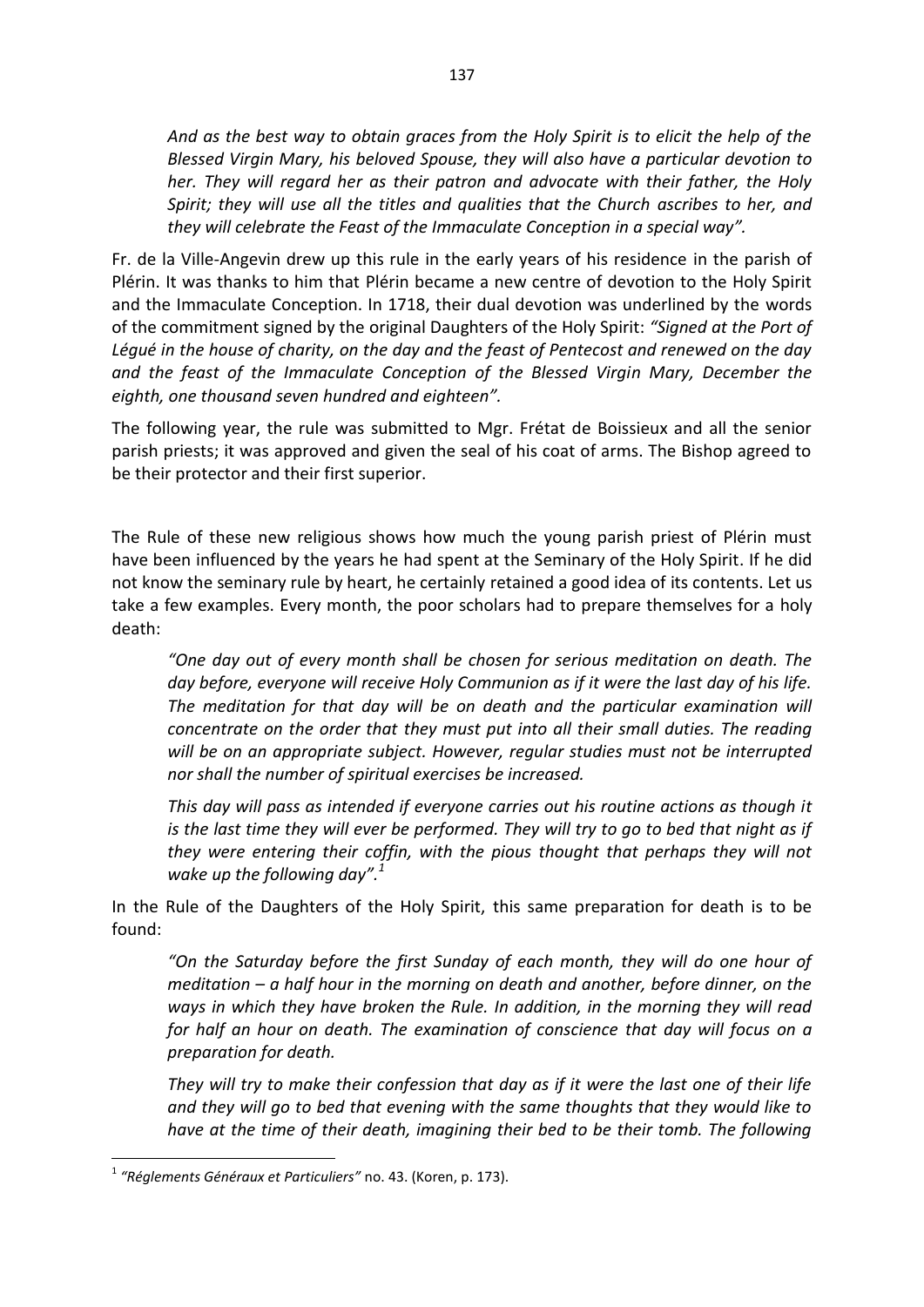*And as the best way to obtain graces from the Holy Spirit is to elicit the help of the Blessed Virgin Mary, his beloved Spouse, they will also have a particular devotion to her. They will regard her as their patron and advocate with their father, the Holy Spirit; they will use all the titles and qualities that the Church ascribes to her, and they will celebrate the Feast of the Immaculate Conception in a special way".*

Fr. de la Ville-Angevin drew up this rule in the early years of his residence in the parish of Plérin. It was thanks to him that Plérin became a new centre of devotion to the Holy Spirit and the Immaculate Conception. In 1718, their dual devotion was underlined by the words of the commitment signed by the original Daughters of the Holy Spirit: *"Signed at the Port of Légué in the house of charity, on the day and the feast of Pentecost and renewed on the day and the feast of the Immaculate Conception of the Blessed Virgin Mary, December the eighth, one thousand seven hundred and eighteen".* 

The following year, the rule was submitted to Mgr. Frétat de Boissieux and all the senior parish priests; it was approved and given the seal of his coat of arms. The Bishop agreed to be their protector and their first superior.

The Rule of these new religious shows how much the young parish priest of Plérin must have been influenced by the years he had spent at the Seminary of the Holy Spirit. If he did not know the seminary rule by heart, he certainly retained a good idea of its contents. Let us take a few examples. Every month, the poor scholars had to prepare themselves for a holy death:

*"One day out of every month shall be chosen for serious meditation on death. The day before, everyone will receive Holy Communion as if it were the last day of his life.*  The meditation for that day will be on death and the particular examination will *concentrate on the order that they must put into all their small duties. The reading will be on an appropriate subject. However, regular studies must not be interrupted nor shall the number of spiritual exercises be increased.* 

*This day will pass as intended if everyone carries out his routine actions as though it is the last time they will ever be performed. They will try to go to bed that night as if they were entering their coffin, with the pious thought that perhaps they will not wake up the following day".<sup>1</sup>* 

In the Rule of the Daughters of the Holy Spirit, this same preparation for death is to be found:

*"On the Saturday before the first Sunday of each month, they will do one hour of meditation – a half hour in the morning on death and another, before dinner, on the ways in which they have broken the Rule. In addition, in the morning they will read for half an hour on death. The examination of conscience that day will focus on a preparation for death.* 

*They will try to make their confession that day as if it were the last one of their life and they will go to bed that evening with the same thoughts that they would like to have at the time of their death, imagining their bed to be their tomb. The following* 

<sup>1</sup> *"Réglements Généraux et Particuliers"* no. 43. (Koren, p. 173).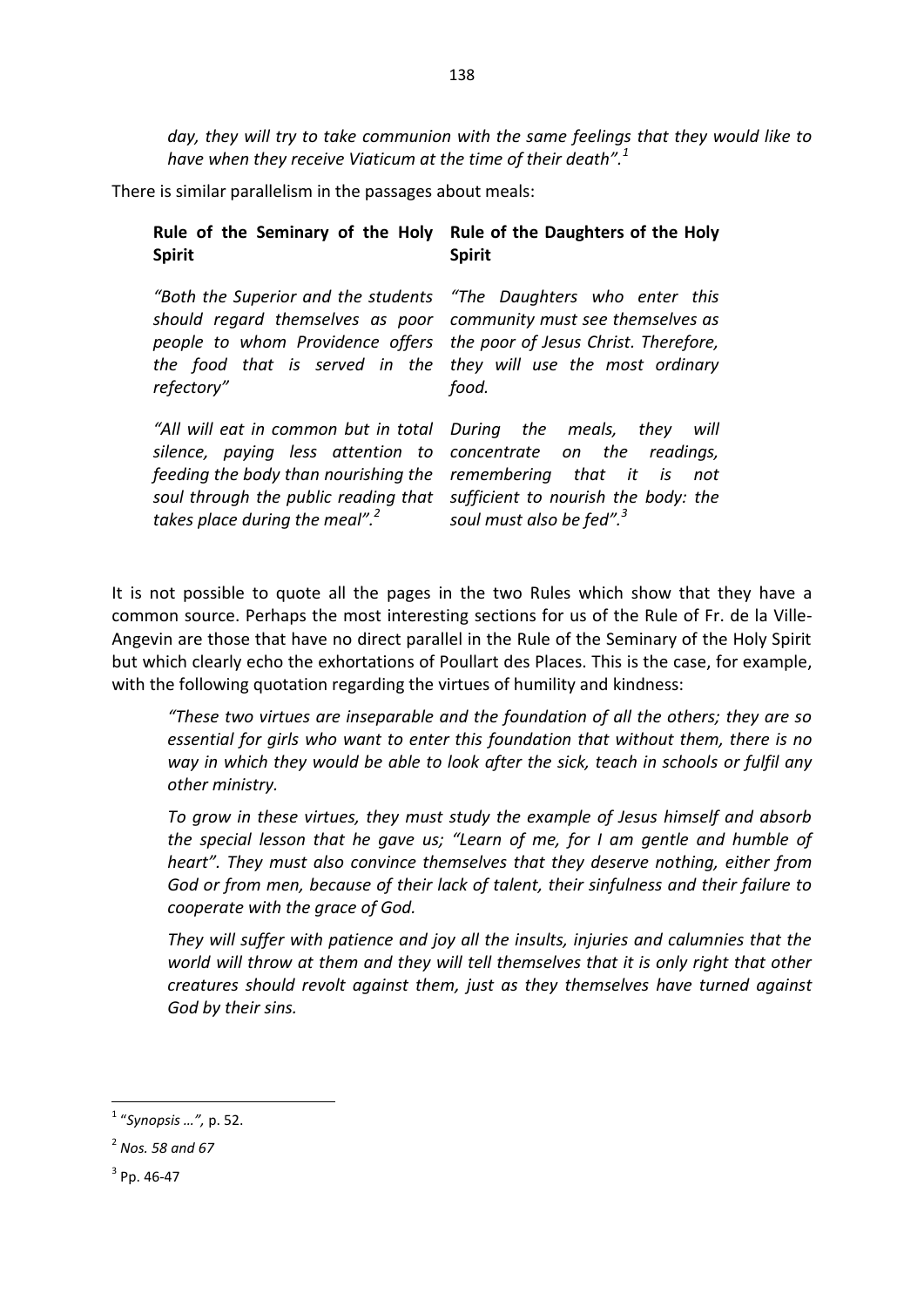*day, they will try to take communion with the same feelings that they would like to have when they receive Viaticum at the time of their death".<sup>1</sup>* 

There is similar parallelism in the passages about meals:

| Rule of the Seminary of the Holy                                                                                                                                                                                                                                                                | Rule of the Daughters of the Holy    |
|-------------------------------------------------------------------------------------------------------------------------------------------------------------------------------------------------------------------------------------------------------------------------------------------------|--------------------------------------|
| <b>Spirit</b>                                                                                                                                                                                                                                                                                   | <b>Spirit</b>                        |
| "Both the Superior and the students "The Daughters who enter this<br>should regard themselves as poor community must see themselves as<br>people to whom Providence offers the poor of Jesus Christ. Therefore,<br>the food that is served in the they will use the most ordinary<br>refectory" | food.                                |
| "All will eat in common but in total During the meals, they will                                                                                                                                                                                                                                | readinas.                            |
| silence, paying less attention to concentrate on the                                                                                                                                                                                                                                            | remembering that it is               |
| feeding the body than nourishing the                                                                                                                                                                                                                                                            | not                                  |
| soul through the public reading that                                                                                                                                                                                                                                                            | sufficient to nourish the body: the  |
| takes place during the meal". <sup>2</sup>                                                                                                                                                                                                                                                      | soul must also be fed". <sup>3</sup> |

It is not possible to quote all the pages in the two Rules which show that they have a common source. Perhaps the most interesting sections for us of the Rule of Fr. de la Ville-Angevin are those that have no direct parallel in the Rule of the Seminary of the Holy Spirit but which clearly echo the exhortations of Poullart des Places. This is the case, for example, with the following quotation regarding the virtues of humility and kindness:

*"These two virtues are inseparable and the foundation of all the others; they are so essential for girls who want to enter this foundation that without them, there is no way in which they would be able to look after the sick, teach in schools or fulfil any other ministry.* 

*To grow in these virtues, they must study the example of Jesus himself and absorb the special lesson that he gave us; "Learn of me, for I am gentle and humble of heart". They must also convince themselves that they deserve nothing, either from God or from men, because of their lack of talent, their sinfulness and their failure to cooperate with the grace of God.* 

*They will suffer with patience and joy all the insults, injuries and calumnies that the world will throw at them and they will tell themselves that it is only right that other creatures should revolt against them, just as they themselves have turned against God by their sins.* 

 1 "*Synopsis …",* p. 52.

<sup>2</sup> *Nos. 58 and 67*

 $3$  Pp. 46-47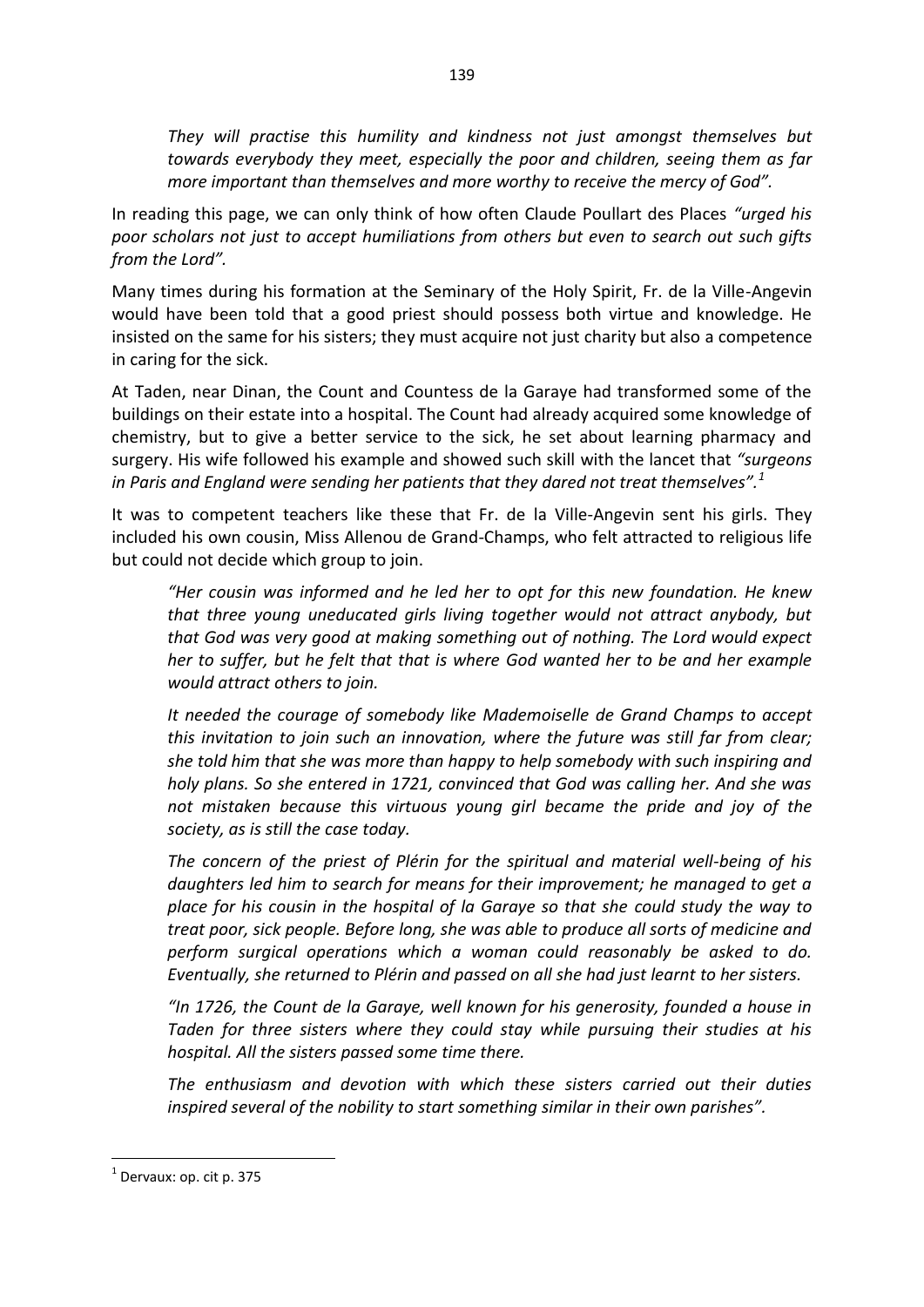*They will practise this humility and kindness not just amongst themselves but towards everybody they meet, especially the poor and children, seeing them as far more important than themselves and more worthy to receive the mercy of God".* 

In reading this page, we can only think of how often Claude Poullart des Places *"urged his poor scholars not just to accept humiliations from others but even to search out such gifts from the Lord".* 

Many times during his formation at the Seminary of the Holy Spirit, Fr. de la Ville-Angevin would have been told that a good priest should possess both virtue and knowledge. He insisted on the same for his sisters; they must acquire not just charity but also a competence in caring for the sick.

At Taden, near Dinan, the Count and Countess de la Garaye had transformed some of the buildings on their estate into a hospital. The Count had already acquired some knowledge of chemistry, but to give a better service to the sick, he set about learning pharmacy and surgery. His wife followed his example and showed such skill with the lancet that *"surgeons in Paris and England were sending her patients that they dared not treat themselves".<sup>1</sup>*

It was to competent teachers like these that Fr. de la Ville-Angevin sent his girls. They included his own cousin, Miss Allenou de Grand-Champs, who felt attracted to religious life but could not decide which group to join.

*"Her cousin was informed and he led her to opt for this new foundation. He knew that three young uneducated girls living together would not attract anybody, but that God was very good at making something out of nothing. The Lord would expect her to suffer, but he felt that that is where God wanted her to be and her example would attract others to join.* 

*It needed the courage of somebody like Mademoiselle de Grand Champs to accept this invitation to join such an innovation, where the future was still far from clear; she told him that she was more than happy to help somebody with such inspiring and holy plans. So she entered in 1721, convinced that God was calling her. And she was not mistaken because this virtuous young girl became the pride and joy of the society, as is still the case today.* 

*The concern of the priest of Plérin for the spiritual and material well-being of his daughters led him to search for means for their improvement; he managed to get a place for his cousin in the hospital of la Garaye so that she could study the way to treat poor, sick people. Before long, she was able to produce all sorts of medicine and perform surgical operations which a woman could reasonably be asked to do. Eventually, she returned to Plérin and passed on all she had just learnt to her sisters.* 

*"In 1726, the Count de la Garaye, well known for his generosity, founded a house in Taden for three sisters where they could stay while pursuing their studies at his hospital. All the sisters passed some time there.* 

*The enthusiasm and devotion with which these sisters carried out their duties inspired several of the nobility to start something similar in their own parishes".* 

 $<sup>1</sup>$  Dervaux: op. cit p. 375</sup>